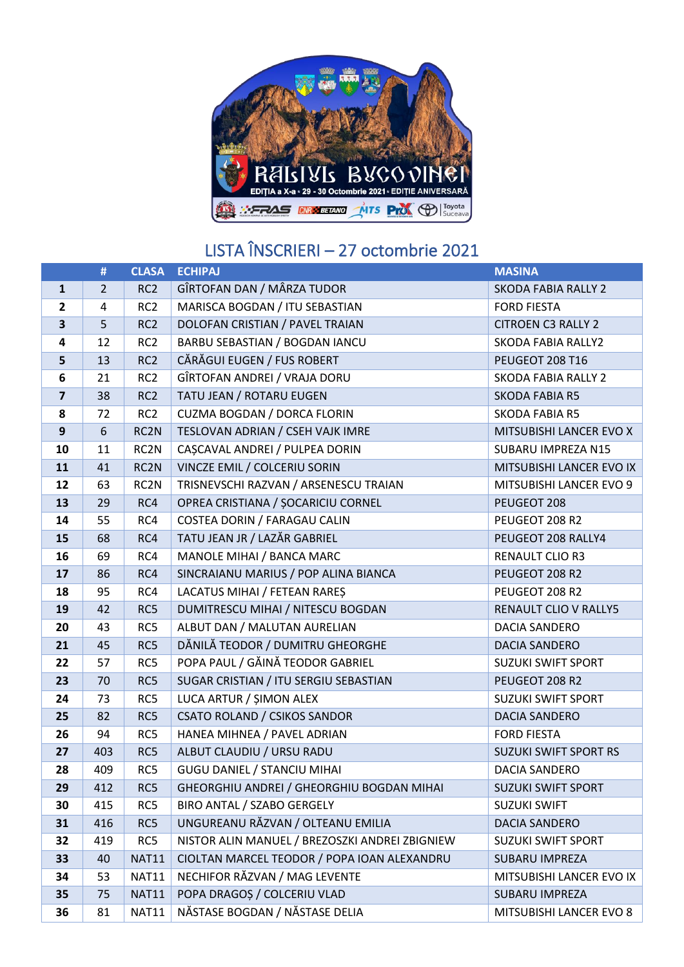

## LISTA ÎNSCRIERI – 27 octombrie 2021

|                         | #              | <b>CLASA</b>    | <b>ECHIPAJ</b>                                                              | <b>MASINA</b>                |  |
|-------------------------|----------------|-----------------|-----------------------------------------------------------------------------|------------------------------|--|
| $\mathbf{1}$            | $\overline{2}$ | RC <sub>2</sub> | GÎRTOFAN DAN / MÂRZA TUDOR                                                  | <b>SKODA FABIA RALLY 2</b>   |  |
| 2                       | 4              | RC <sub>2</sub> | MARISCA BOGDAN / ITU SEBASTIAN                                              | <b>FORD FIESTA</b>           |  |
| 3                       | 5              | RC <sub>2</sub> | DOLOFAN CRISTIAN / PAVEL TRAIAN                                             | <b>CITROEN C3 RALLY 2</b>    |  |
| 4                       | 12             | RC <sub>2</sub> | BARBU SEBASTIAN / BOGDAN IANCU                                              | <b>SKODA FABIA RALLY2</b>    |  |
| 5                       | 13             | RC <sub>2</sub> | CĂRĂGUI EUGEN / FUS ROBERT                                                  | PEUGEOT 208 T16              |  |
| 6                       | 21             | RC <sub>2</sub> | GÎRTOFAN ANDREI / VRAJA DORU                                                | <b>SKODA FABIA RALLY 2</b>   |  |
| $\overline{\mathbf{z}}$ | 38             | RC <sub>2</sub> | TATU JEAN / ROTARU EUGEN                                                    | <b>SKODA FABIA R5</b>        |  |
| 8                       | 72             | RC <sub>2</sub> | CUZMA BOGDAN / DORCA FLORIN                                                 | <b>SKODA FABIA R5</b>        |  |
| 9                       | 6              | RC2N            | TESLOVAN ADRIAN / CSEH VAJK IMRE                                            | MITSUBISHI LANCER EVO X      |  |
| 10                      | 11             | RC2N            | CAȘCAVAL ANDREI / PULPEA DORIN                                              | SUBARU IMPREZA N15           |  |
| 11                      | 41             | RC2N            | VINCZE EMIL / COLCERIU SORIN                                                | MITSUBISHI LANCER EVO IX     |  |
| 12                      | 63             | RC2N            | TRISNEVSCHI RAZVAN / ARSENESCU TRAIAN                                       | MITSUBISHI LANCER EVO 9      |  |
| 13                      | 29             | RC4             | OPREA CRISTIANA / ȘOCARICIU CORNEL                                          | PEUGEOT 208                  |  |
| 14                      | 55             | RC4             | COSTEA DORIN / FARAGAU CALIN                                                | PEUGEOT 208 R2               |  |
| 15                      | 68             | RC4             | TATU JEAN JR / LAZĂR GABRIEL                                                | PEUGEOT 208 RALLY4           |  |
| 16                      | 69             | RC4             | MANOLE MIHAI / BANCA MARC                                                   | RENAULT CLIO R3              |  |
| 17                      | 86             | RC4             | SINCRAIANU MARIUS / POP ALINA BIANCA                                        | PEUGEOT 208 R2               |  |
| 18                      | 95             | RC4             | LACATUS MIHAI / FETEAN RARES                                                | PEUGEOT 208 R2               |  |
| 19                      | 42             | RC5             | DUMITRESCU MIHAI / NITESCU BOGDAN                                           | RENAULT CLIO V RALLY5        |  |
| 20                      | 43             | RC5             | ALBUT DAN / MALUTAN AURELIAN                                                | <b>DACIA SANDERO</b>         |  |
| 21                      | 45             | RC5             | DĂNILĂ TEODOR / DUMITRU GHEORGHE                                            | DACIA SANDERO                |  |
| 22                      | 57             | RC5             | POPA PAUL / GĂINĂ TEODOR GABRIEL                                            | <b>SUZUKI SWIFT SPORT</b>    |  |
| 23                      | 70             | RC5             | SUGAR CRISTIAN / ITU SERGIU SEBASTIAN                                       | PEUGEOT 208 R2               |  |
| 24                      | 73             | RC5             | LUCA ARTUR / ŞIMON ALEX                                                     | <b>SUZUKI SWIFT SPORT</b>    |  |
| 25                      | 82             | RC5             | <b>CSATO ROLAND / CSIKOS SANDOR</b>                                         | <b>DACIA SANDERO</b>         |  |
| 26                      | 94             | RC5             | HANEA MIHNEA / PAVEL ADRIAN                                                 | <b>FORD FIESTA</b>           |  |
| 27                      | 403            | RC5             | ALBUT CLAUDIU / URSU RADU                                                   | <b>SUZUKI SWIFT SPORT RS</b> |  |
| 28                      | 409            | RC5             | <b>GUGU DANIEL / STANCIU MIHAI</b>                                          | DACIA SANDERO                |  |
| 29                      | 412            | RC5             | GHEORGHIU ANDREI / GHEORGHIU BOGDAN MIHAI                                   | <b>SUZUKI SWIFT SPORT</b>    |  |
| 30                      | 415            | RC5             | BIRO ANTAL / SZABO GERGELY                                                  | <b>SUZUKI SWIFT</b>          |  |
| 31                      | 416            | RC5             | UNGUREANU RĂZVAN / OLTEANU EMILIA                                           | <b>DACIA SANDERO</b>         |  |
| 32                      | 419            | RC5             | NISTOR ALIN MANUEL / BREZOSZKI ANDREI ZBIGNIEW<br><b>SUZUKI SWIFT SPORT</b> |                              |  |
| 33                      | 40             | <b>NAT11</b>    | CIOLTAN MARCEL TEODOR / POPA IOAN ALEXANDRU<br><b>SUBARU IMPREZA</b>        |                              |  |
| 34                      | 53             | <b>NAT11</b>    | NECHIFOR RĂZVAN / MAG LEVENTE<br>MITSUBISHI LANCER EVO IX                   |                              |  |
| 35                      | 75             | <b>NAT11</b>    | POPA DRAGOȘ / COLCERIU VLAD<br>SUBARU IMPREZA                               |                              |  |
| 36                      | 81             | <b>NAT11</b>    | NĂSTASE BOGDAN / NĂSTASE DELIA                                              | MITSUBISHI LANCER EVO 8      |  |